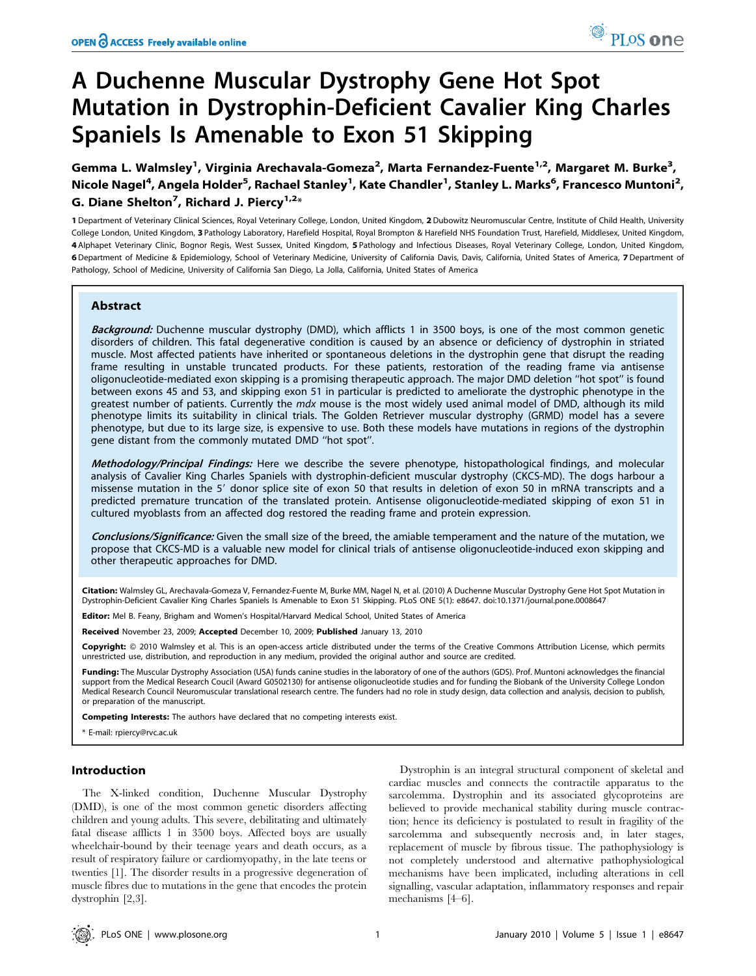# A Duchenne Muscular Dystrophy Gene Hot Spot Mutation in Dystrophin-Deficient Cavalier King Charles Spaniels Is Amenable to Exon 51 Skipping

Gemma L. Walmsley<sup>1</sup>, Virginia Arechavala-Gomeza<sup>2</sup>, Marta Fernandez-Fuente<sup>1,2</sup>, Margaret M. Burke<sup>3</sup>, Nicole Nagel<sup>4</sup>, Angela Holder<sup>5</sup>, Rachael Stanley<sup>1</sup>, Kate Chandler<sup>1</sup>, Stanley L. Marks<sup>6</sup>, Francesco Muntoni<sup>2</sup>, G. Diane Shelton<sup>7</sup>, Richard J. Piercy<sup>1,2</sup>\*

1 Department of Veterinary Clinical Sciences, Royal Veterinary College, London, United Kingdom, 2 Dubowitz Neuromuscular Centre, Institute of Child Health, University College London, United Kingdom, 3 Pathology Laboratory, Harefield Hospital, Royal Brompton & Harefield NHS Foundation Trust, Harefield, Middlesex, United Kingdom, 4 Alphapet Veterinary Clinic, Bognor Regis, West Sussex, United Kingdom, 5 Pathology and Infectious Diseases, Royal Veterinary College, London, United Kingdom, 6 Department of Medicine & Epidemiology, School of Veterinary Medicine, University of California Davis, Davis, California, United States of America, 7 Department of Pathology, School of Medicine, University of California San Diego, La Jolla, California, United States of America

# Abstract

Background: Duchenne muscular dystrophy (DMD), which afflicts 1 in 3500 boys, is one of the most common genetic disorders of children. This fatal degenerative condition is caused by an absence or deficiency of dystrophin in striated muscle. Most affected patients have inherited or spontaneous deletions in the dystrophin gene that disrupt the reading frame resulting in unstable truncated products. For these patients, restoration of the reading frame via antisense oligonucleotide-mediated exon skipping is a promising therapeutic approach. The major DMD deletion ''hot spot'' is found between exons 45 and 53, and skipping exon 51 in particular is predicted to ameliorate the dystrophic phenotype in the greatest number of patients. Currently the mdx mouse is the most widely used animal model of DMD, although its mild phenotype limits its suitability in clinical trials. The Golden Retriever muscular dystrophy (GRMD) model has a severe phenotype, but due to its large size, is expensive to use. Both these models have mutations in regions of the dystrophin gene distant from the commonly mutated DMD ''hot spot''.

Methodology/Principal Findings: Here we describe the severe phenotype, histopathological findings, and molecular analysis of Cavalier King Charles Spaniels with dystrophin-deficient muscular dystrophy (CKCS-MD). The dogs harbour a missense mutation in the 5' donor splice site of exon 50 that results in deletion of exon 50 in mRNA transcripts and a predicted premature truncation of the translated protein. Antisense oligonucleotide-mediated skipping of exon 51 in cultured myoblasts from an affected dog restored the reading frame and protein expression.

Conclusions/Significance: Given the small size of the breed, the amiable temperament and the nature of the mutation, we propose that CKCS-MD is a valuable new model for clinical trials of antisense oligonucleotide-induced exon skipping and other therapeutic approaches for DMD.

Citation: Walmsley GL, Arechavala-Gomeza V, Fernandez-Fuente M, Burke MM, Nagel N, et al. (2010) A Duchenne Muscular Dystrophy Gene Hot Spot Mutation in Dystrophin-Deficient Cavalier King Charles Spaniels Is Amenable to Exon 51 Skipping. PLoS ONE 5(1): e8647. doi:10.1371/journal.pone.0008647

Editor: Mel B. Feany, Brigham and Women's Hospital/Harvard Medical School, United States of America

Received November 23, 2009; Accepted December 10, 2009; Published January 13, 2010

Copyright: @ 2010 Walmsley et al. This is an open-access article distributed under the terms of the Creative Commons Attribution License, which permits unrestricted use, distribution, and reproduction in any medium, provided the original author and source are credited.

Funding: The Muscular Dystrophy Association (USA) funds canine studies in the laboratory of one of the authors (GDS). Prof. Muntoni acknowledges the financial support from the Medical Research Coucil (Award G0502130) for antisense oligonucleotide studies and for funding the Biobank of the University College London Medical Research Council Neuromuscular translational research centre. The funders had no role in study design, data collection and analysis, decision to publish, or preparation of the manuscript.

Competing Interests: The authors have declared that no competing interests exist.

\* E-mail: rpiercy@rvc.ac.uk

#### Introduction

The X-linked condition, Duchenne Muscular Dystrophy (DMD), is one of the most common genetic disorders affecting children and young adults. This severe, debilitating and ultimately fatal disease afflicts 1 in 3500 boys. Affected boys are usually wheelchair-bound by their teenage years and death occurs, as a result of respiratory failure or cardiomyopathy, in the late teens or twenties [1]. The disorder results in a progressive degeneration of muscle fibres due to mutations in the gene that encodes the protein dystrophin [2,3].

Dystrophin is an integral structural component of skeletal and cardiac muscles and connects the contractile apparatus to the sarcolemma. Dystrophin and its associated glycoproteins are believed to provide mechanical stability during muscle contraction; hence its deficiency is postulated to result in fragility of the sarcolemma and subsequently necrosis and, in later stages, replacement of muscle by fibrous tissue. The pathophysiology is not completely understood and alternative pathophysiological mechanisms have been implicated, including alterations in cell signalling, vascular adaptation, inflammatory responses and repair mechanisms [4–6].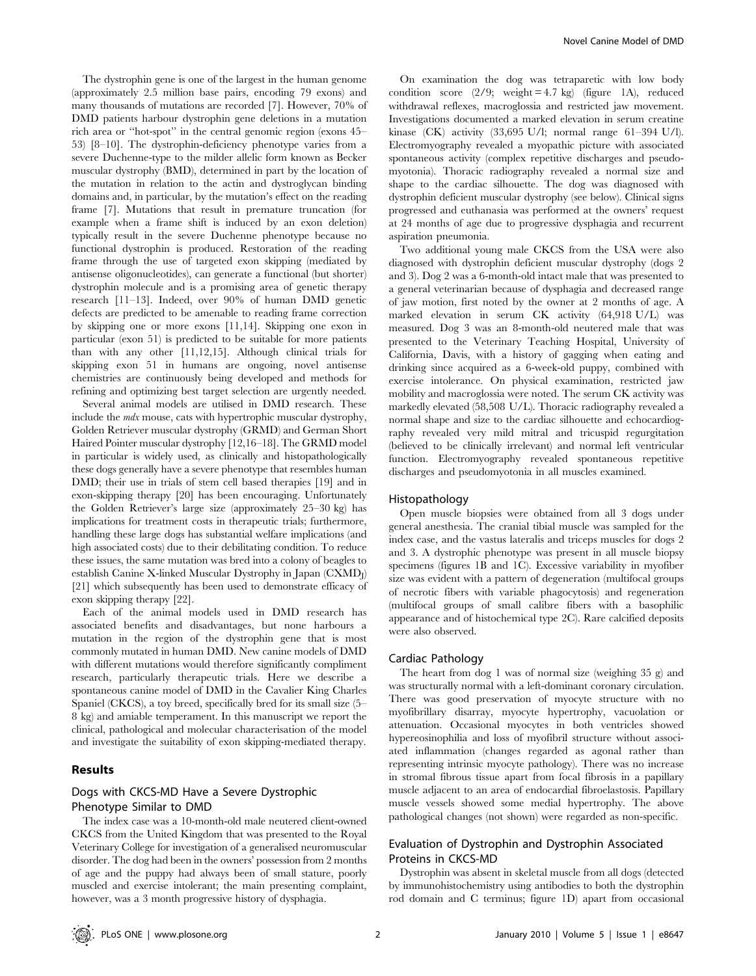The dystrophin gene is one of the largest in the human genome (approximately 2.5 million base pairs, encoding 79 exons) and many thousands of mutations are recorded [7]. However, 70% of DMD patients harbour dystrophin gene deletions in a mutation rich area or ''hot-spot'' in the central genomic region (exons 45– 53) [8–10]. The dystrophin-deficiency phenotype varies from a severe Duchenne-type to the milder allelic form known as Becker muscular dystrophy (BMD), determined in part by the location of the mutation in relation to the actin and dystroglycan binding domains and, in particular, by the mutation's effect on the reading frame [7]. Mutations that result in premature truncation (for example when a frame shift is induced by an exon deletion) typically result in the severe Duchenne phenotype because no functional dystrophin is produced. Restoration of the reading frame through the use of targeted exon skipping (mediated by antisense oligonucleotides), can generate a functional (but shorter) dystrophin molecule and is a promising area of genetic therapy research [11–13]. Indeed, over 90% of human DMD genetic defects are predicted to be amenable to reading frame correction by skipping one or more exons [11,14]. Skipping one exon in particular (exon 51) is predicted to be suitable for more patients than with any other [11,12,15]. Although clinical trials for skipping exon 51 in humans are ongoing, novel antisense chemistries are continuously being developed and methods for refining and optimizing best target selection are urgently needed.

Several animal models are utilised in DMD research. These include the mdx mouse, cats with hypertrophic muscular dystrophy, Golden Retriever muscular dystrophy (GRMD) and German Short Haired Pointer muscular dystrophy [12,16–18]. The GRMD model in particular is widely used, as clinically and histopathologically these dogs generally have a severe phenotype that resembles human DMD; their use in trials of stem cell based therapies [19] and in exon-skipping therapy [20] has been encouraging. Unfortunately the Golden Retriever's large size (approximately 25–30 kg) has implications for treatment costs in therapeutic trials; furthermore, handling these large dogs has substantial welfare implications (and high associated costs) due to their debilitating condition. To reduce these issues, the same mutation was bred into a colony of beagles to establish Canine X-linked Muscular Dystrophy in Japan  $(CXMD<sub>I</sub>)$ [21] which subsequently has been used to demonstrate efficacy of exon skipping therapy [22].

Each of the animal models used in DMD research has associated benefits and disadvantages, but none harbours a mutation in the region of the dystrophin gene that is most commonly mutated in human DMD. New canine models of DMD with different mutations would therefore significantly compliment research, particularly therapeutic trials. Here we describe a spontaneous canine model of DMD in the Cavalier King Charles Spaniel (CKCS), a toy breed, specifically bred for its small size (5– 8 kg) and amiable temperament. In this manuscript we report the clinical, pathological and molecular characterisation of the model and investigate the suitability of exon skipping-mediated therapy.

#### Results

# Dogs with CKCS-MD Have a Severe Dystrophic Phenotype Similar to DMD

The index case was a 10-month-old male neutered client-owned CKCS from the United Kingdom that was presented to the Royal Veterinary College for investigation of a generalised neuromuscular disorder. The dog had been in the owners' possession from 2 months of age and the puppy had always been of small stature, poorly muscled and exercise intolerant; the main presenting complaint, however, was a 3 month progressive history of dysphagia.

On examination the dog was tetraparetic with low body condition score  $(2/9;$  weight = 4.7 kg) (figure 1A), reduced withdrawal reflexes, macroglossia and restricted jaw movement. Investigations documented a marked elevation in serum creatine kinase (CK) activity (33,695 U/l; normal range 61–394 U/l). Electromyography revealed a myopathic picture with associated spontaneous activity (complex repetitive discharges and pseudomyotonia). Thoracic radiography revealed a normal size and shape to the cardiac silhouette. The dog was diagnosed with dystrophin deficient muscular dystrophy (see below). Clinical signs progressed and euthanasia was performed at the owners' request at 24 months of age due to progressive dysphagia and recurrent aspiration pneumonia.

Two additional young male CKCS from the USA were also diagnosed with dystrophin deficient muscular dystrophy (dogs 2 and 3). Dog 2 was a 6-month-old intact male that was presented to a general veterinarian because of dysphagia and decreased range of jaw motion, first noted by the owner at 2 months of age. A marked elevation in serum CK activity (64,918 U/L) was measured. Dog 3 was an 8-month-old neutered male that was presented to the Veterinary Teaching Hospital, University of California, Davis, with a history of gagging when eating and drinking since acquired as a 6-week-old puppy, combined with exercise intolerance. On physical examination, restricted jaw mobility and macroglossia were noted. The serum CK activity was markedly elevated (58,508 U/L). Thoracic radiography revealed a normal shape and size to the cardiac silhouette and echocardiography revealed very mild mitral and tricuspid regurgitation (believed to be clinically irrelevant) and normal left ventricular function. Electromyography revealed spontaneous repetitive discharges and pseudomyotonia in all muscles examined.

#### Histopathology

Open muscle biopsies were obtained from all 3 dogs under general anesthesia. The cranial tibial muscle was sampled for the index case, and the vastus lateralis and triceps muscles for dogs 2 and 3. A dystrophic phenotype was present in all muscle biopsy specimens (figures 1B and 1C). Excessive variability in myofiber size was evident with a pattern of degeneration (multifocal groups of necrotic fibers with variable phagocytosis) and regeneration (multifocal groups of small calibre fibers with a basophilic appearance and of histochemical type 2C). Rare calcified deposits were also observed.

# Cardiac Pathology

The heart from dog 1 was of normal size (weighing 35 g) and was structurally normal with a left-dominant coronary circulation. There was good preservation of myocyte structure with no myofibrillary disarray, myocyte hypertrophy, vacuolation or attenuation. Occasional myocytes in both ventricles showed hypereosinophilia and loss of myofibril structure without associated inflammation (changes regarded as agonal rather than representing intrinsic myocyte pathology). There was no increase in stromal fibrous tissue apart from focal fibrosis in a papillary muscle adjacent to an area of endocardial fibroelastosis. Papillary muscle vessels showed some medial hypertrophy. The above pathological changes (not shown) were regarded as non-specific.

# Evaluation of Dystrophin and Dystrophin Associated Proteins in CKCS-MD

Dystrophin was absent in skeletal muscle from all dogs (detected by immunohistochemistry using antibodies to both the dystrophin rod domain and C terminus; figure 1D) apart from occasional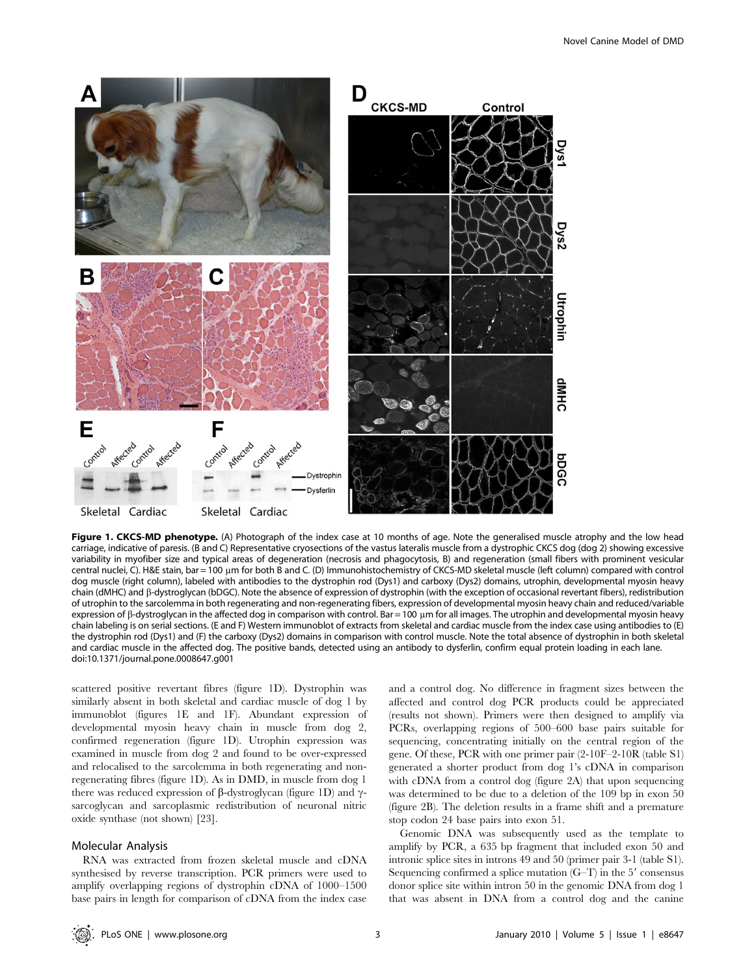

Figure 1. CKCS-MD phenotype. (A) Photograph of the index case at 10 months of age. Note the generalised muscle atrophy and the low head carriage, indicative of paresis. (B and C) Representative cryosections of the vastus lateralis muscle from a dystrophic CKCS dog (dog 2) showing excessive variability in myofiber size and typical areas of degeneration (necrosis and phagocytosis, B) and regeneration (small fibers with prominent vesicular central nuclei, C). H&E stain, bar = 100 µm for both B and C. (D) Immunohistochemistry of CKCS-MD skeletal muscle (left column) compared with control dog muscle (right column), labeled with antibodies to the dystrophin rod (Dys1) and carboxy (Dys2) domains, utrophin, developmental myosin heavy chain (dMHC) and b-dystroglycan (bDGC). Note the absence of expression of dystrophin (with the exception of occasional revertant fibers), redistribution of utrophin to the sarcolemma in both regenerating and non-regenerating fibers, expression of developmental myosin heavy chain and reduced/variable expression of  $\beta$ -dystroglycan in the affected dog in comparison with control. Bar = 100  $\mu$ m for all images. The utrophin and developmental myosin heavy chain labeling is on serial sections. (E and F) Western immunoblot of extracts from skeletal and cardiac muscle from the index case using antibodies to (E) the dystrophin rod (Dys1) and (F) the carboxy (Dys2) domains in comparison with control muscle. Note the total absence of dystrophin in both skeletal and cardiac muscle in the affected dog. The positive bands, detected using an antibody to dysferlin, confirm equal protein loading in each lane. doi:10.1371/journal.pone.0008647.g001

scattered positive revertant fibres (figure 1D). Dystrophin was similarly absent in both skeletal and cardiac muscle of dog 1 by immunoblot (figures 1E and 1F). Abundant expression of developmental myosin heavy chain in muscle from dog 2, confirmed regeneration (figure 1D). Utrophin expression was examined in muscle from dog 2 and found to be over-expressed and relocalised to the sarcolemma in both regenerating and nonregenerating fibres (figure 1D). As in DMD, in muscle from dog 1 there was reduced expression of  $\beta$ -dystroglycan (figure 1D) and  $\gamma$ sarcoglycan and sarcoplasmic redistribution of neuronal nitric oxide synthase (not shown) [23].

# Molecular Analysis

RNA was extracted from frozen skeletal muscle and cDNA synthesised by reverse transcription. PCR primers were used to amplify overlapping regions of dystrophin cDNA of 1000–1500 base pairs in length for comparison of cDNA from the index case

and a control dog. No difference in fragment sizes between the affected and control dog PCR products could be appreciated (results not shown). Primers were then designed to amplify via PCRs, overlapping regions of 500–600 base pairs suitable for sequencing, concentrating initially on the central region of the gene. Of these, PCR with one primer pair (2-10F–2-10R (table S1) generated a shorter product from dog 1's cDNA in comparison with cDNA from a control dog (figure 2A) that upon sequencing was determined to be due to a deletion of the 109 bp in exon 50 (figure 2B). The deletion results in a frame shift and a premature stop codon 24 base pairs into exon 51.

Genomic DNA was subsequently used as the template to amplify by PCR, a 635 bp fragment that included exon 50 and intronic splice sites in introns 49 and 50 (primer pair 3-1 (table S1). Sequencing confirmed a splice mutation  $(G-T)$  in the 5' consensus donor splice site within intron 50 in the genomic DNA from dog 1 that was absent in DNA from a control dog and the canine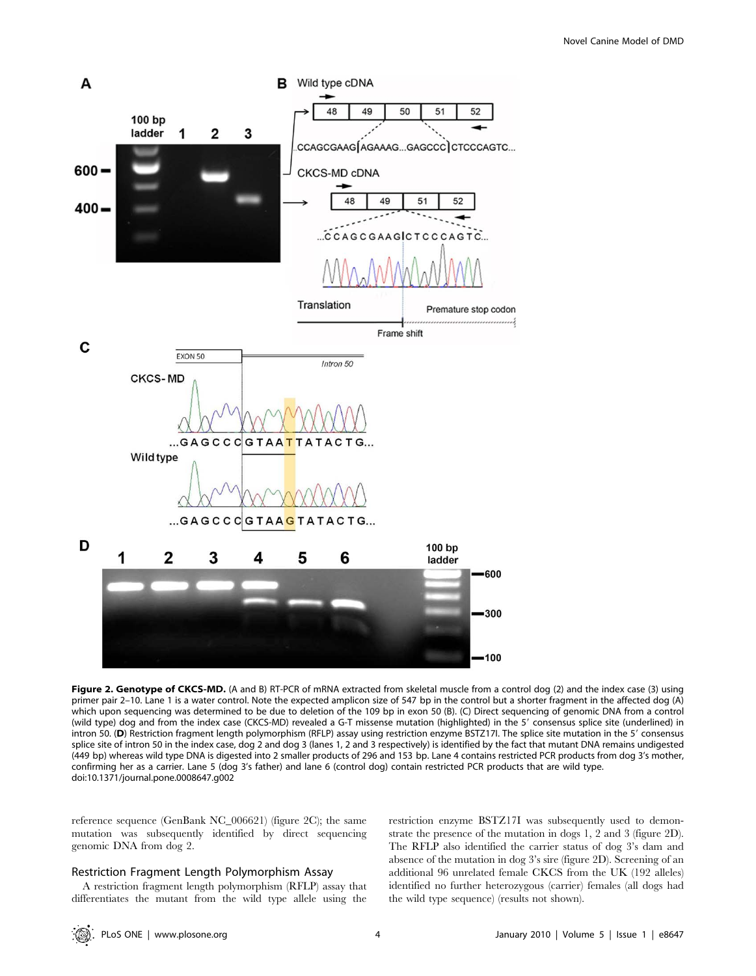

Figure 2. Genotype of CKCS-MD. (A and B) RT-PCR of mRNA extracted from skeletal muscle from a control dog (2) and the index case (3) using primer pair 2–10. Lane 1 is a water control. Note the expected amplicon size of 547 bp in the control but a shorter fragment in the affected dog (A) which upon sequencing was determined to be due to deletion of the 109 bp in exon 50 (B). (C) Direct sequencing of genomic DNA from a control (wild type) dog and from the index case (CKCS-MD) revealed a G-T missense mutation (highlighted) in the 5' consensus splice site (underlined) in intron 50. (D) Restriction fragment length polymorphism (RFLP) assay using restriction enzyme BSTZ17I. The splice site mutation in the 59 consensus splice site of intron 50 in the index case, dog 2 and dog 3 (lanes 1, 2 and 3 respectively) is identified by the fact that mutant DNA remains undigested (449 bp) whereas wild type DNA is digested into 2 smaller products of 296 and 153 bp. Lane 4 contains restricted PCR products from dog 3's mother, confirming her as a carrier. Lane 5 (dog 3's father) and lane 6 (control dog) contain restricted PCR products that are wild type. doi:10.1371/journal.pone.0008647.g002

reference sequence (GenBank NC\_006621) (figure 2C); the same mutation was subsequently identified by direct sequencing genomic DNA from dog 2.

# Restriction Fragment Length Polymorphism Assay

A restriction fragment length polymorphism (RFLP) assay that differentiates the mutant from the wild type allele using the restriction enzyme BSTZ17I was subsequently used to demonstrate the presence of the mutation in dogs 1, 2 and 3 (figure 2D). The RFLP also identified the carrier status of dog 3's dam and absence of the mutation in dog 3's sire (figure 2D). Screening of an additional 96 unrelated female CKCS from the UK (192 alleles) identified no further heterozygous (carrier) females (all dogs had the wild type sequence) (results not shown).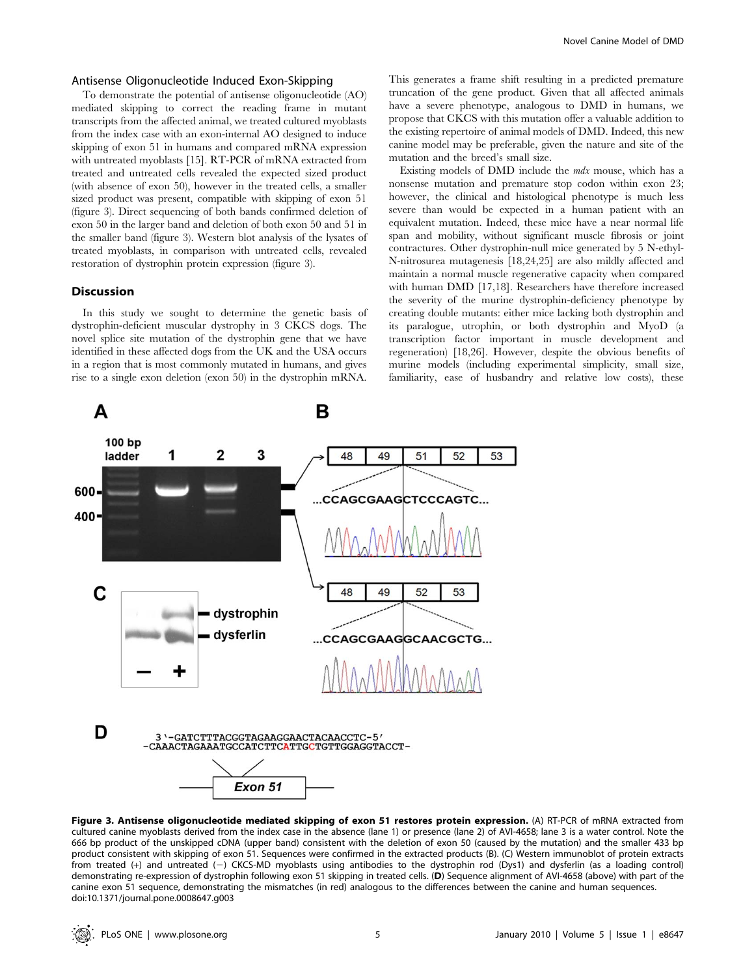# Antisense Oligonucleotide Induced Exon-Skipping

To demonstrate the potential of antisense oligonucleotide (AO) mediated skipping to correct the reading frame in mutant transcripts from the affected animal, we treated cultured myoblasts from the index case with an exon-internal AO designed to induce skipping of exon 51 in humans and compared mRNA expression with untreated myoblasts [15]. RT-PCR of mRNA extracted from treated and untreated cells revealed the expected sized product (with absence of exon 50), however in the treated cells, a smaller sized product was present, compatible with skipping of exon 51 (figure 3). Direct sequencing of both bands confirmed deletion of exon 50 in the larger band and deletion of both exon 50 and 51 in the smaller band (figure 3). Western blot analysis of the lysates of treated myoblasts, in comparison with untreated cells, revealed restoration of dystrophin protein expression (figure 3).

#### Discussion

In this study we sought to determine the genetic basis of dystrophin-deficient muscular dystrophy in 3 CKCS dogs. The novel splice site mutation of the dystrophin gene that we have identified in these affected dogs from the UK and the USA occurs in a region that is most commonly mutated in humans, and gives rise to a single exon deletion (exon 50) in the dystrophin mRNA. This generates a frame shift resulting in a predicted premature truncation of the gene product. Given that all affected animals have a severe phenotype, analogous to DMD in humans, we propose that CKCS with this mutation offer a valuable addition to the existing repertoire of animal models of DMD. Indeed, this new canine model may be preferable, given the nature and site of the mutation and the breed's small size.

Existing models of DMD include the mdx mouse, which has a nonsense mutation and premature stop codon within exon 23; however, the clinical and histological phenotype is much less severe than would be expected in a human patient with an equivalent mutation. Indeed, these mice have a near normal life span and mobility, without significant muscle fibrosis or joint contractures. Other dystrophin-null mice generated by 5 N-ethyl-N-nitrosurea mutagenesis [18,24,25] are also mildly affected and maintain a normal muscle regenerative capacity when compared with human DMD [17,18]. Researchers have therefore increased the severity of the murine dystrophin-deficiency phenotype by creating double mutants: either mice lacking both dystrophin and its paralogue, utrophin, or both dystrophin and MyoD (a transcription factor important in muscle development and regeneration) [18,26]. However, despite the obvious benefits of murine models (including experimental simplicity, small size, familiarity, ease of husbandry and relative low costs), these



Figure 3. Antisense oligonucleotide mediated skipping of exon 51 restores protein expression. (A) RT-PCR of mRNA extracted from cultured canine myoblasts derived from the index case in the absence (lane 1) or presence (lane 2) of AVI-4658; lane 3 is a water control. Note the 666 bp product of the unskipped cDNA (upper band) consistent with the deletion of exon 50 (caused by the mutation) and the smaller 433 bp product consistent with skipping of exon 51. Sequences were confirmed in the extracted products (B). (C) Western immunoblot of protein extracts from treated (+) and untreated (-) CKCS-MD myoblasts using antibodies to the dystrophin rod (Dys1) and dysferlin (as a loading control) demonstrating re-expression of dystrophin following exon 51 skipping in treated cells. (D) Sequence alignment of AVI-4658 (above) with part of the canine exon 51 sequence, demonstrating the mismatches (in red) analogous to the differences between the canine and human sequences. doi:10.1371/journal.pone.0008647.g003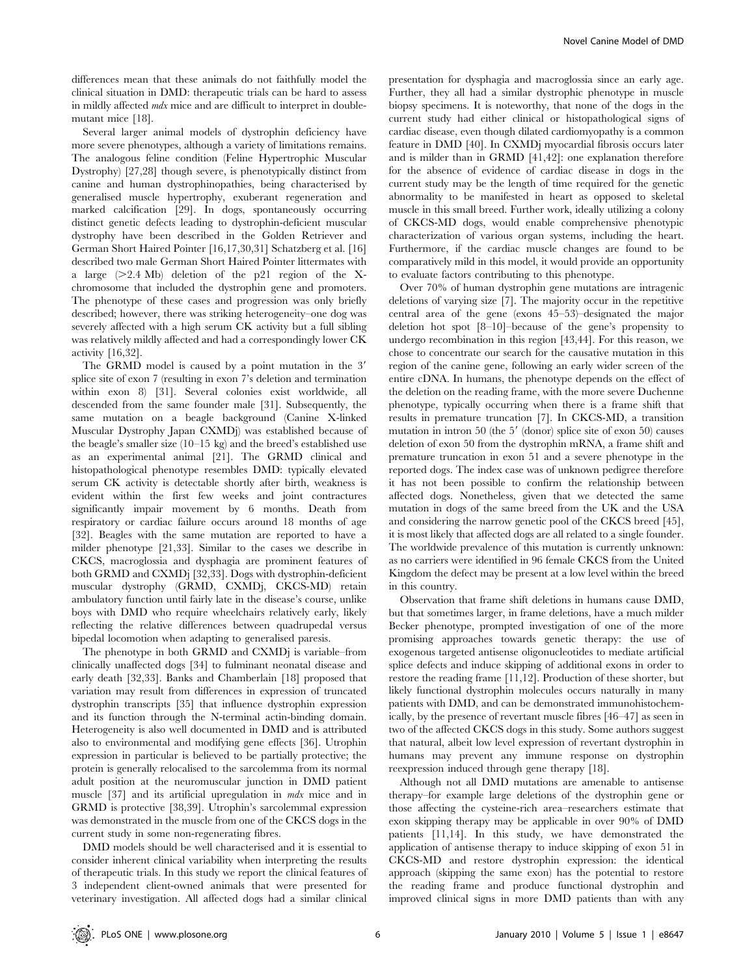differences mean that these animals do not faithfully model the clinical situation in DMD: therapeutic trials can be hard to assess in mildly affected mdx mice and are difficult to interpret in doublemutant mice [18].

Several larger animal models of dystrophin deficiency have more severe phenotypes, although a variety of limitations remains. The analogous feline condition (Feline Hypertrophic Muscular Dystrophy) [27,28] though severe, is phenotypically distinct from canine and human dystrophinopathies, being characterised by generalised muscle hypertrophy, exuberant regeneration and marked calcification [29]. In dogs, spontaneously occurring distinct genetic defects leading to dystrophin-deficient muscular dystrophy have been described in the Golden Retriever and German Short Haired Pointer [16,17,30,31] Schatzberg et al. [16] described two male German Short Haired Pointer littermates with a large  $(>2.4 \text{ Mb})$  deletion of the p21 region of the Xchromosome that included the dystrophin gene and promoters. The phenotype of these cases and progression was only briefly described; however, there was striking heterogeneity–one dog was severely affected with a high serum CK activity but a full sibling was relatively mildly affected and had a correspondingly lower CK activity [16,32].

The GRMD model is caused by a point mutation in the 3' splice site of exon 7 (resulting in exon 7's deletion and termination within exon 8) [31]. Several colonies exist worldwide, all descended from the same founder male [31]. Subsequently, the same mutation on a beagle background (Canine X-linked Muscular Dystrophy Japan CXMDj) was established because of the beagle's smaller size (10–15 kg) and the breed's established use as an experimental animal [21]. The GRMD clinical and histopathological phenotype resembles DMD: typically elevated serum CK activity is detectable shortly after birth, weakness is evident within the first few weeks and joint contractures significantly impair movement by 6 months. Death from respiratory or cardiac failure occurs around 18 months of age [32]. Beagles with the same mutation are reported to have a milder phenotype [21,33]. Similar to the cases we describe in CKCS, macroglossia and dysphagia are prominent features of both GRMD and CXMDj [32,33]. Dogs with dystrophin-deficient muscular dystrophy (GRMD, CXMDj, CKCS-MD) retain ambulatory function until fairly late in the disease's course, unlike boys with DMD who require wheelchairs relatively early, likely reflecting the relative differences between quadrupedal versus bipedal locomotion when adapting to generalised paresis.

The phenotype in both GRMD and CXMDj is variable–from clinically unaffected dogs [34] to fulminant neonatal disease and early death [32,33]. Banks and Chamberlain [18] proposed that variation may result from differences in expression of truncated dystrophin transcripts [35] that influence dystrophin expression and its function through the N-terminal actin-binding domain. Heterogeneity is also well documented in DMD and is attributed also to environmental and modifying gene effects [36]. Utrophin expression in particular is believed to be partially protective; the protein is generally relocalised to the sarcolemma from its normal adult position at the neuromuscular junction in DMD patient muscle [37] and its artificial upregulation in *mdx* mice and in GRMD is protective [38,39]. Utrophin's sarcolemmal expression was demonstrated in the muscle from one of the CKCS dogs in the current study in some non-regenerating fibres.

DMD models should be well characterised and it is essential to consider inherent clinical variability when interpreting the results of therapeutic trials. In this study we report the clinical features of 3 independent client-owned animals that were presented for veterinary investigation. All affected dogs had a similar clinical

presentation for dysphagia and macroglossia since an early age. Further, they all had a similar dystrophic phenotype in muscle biopsy specimens. It is noteworthy, that none of the dogs in the current study had either clinical or histopathological signs of cardiac disease, even though dilated cardiomyopathy is a common feature in DMD [40]. In CXMDj myocardial fibrosis occurs later and is milder than in GRMD [41,42]: one explanation therefore for the absence of evidence of cardiac disease in dogs in the current study may be the length of time required for the genetic abnormality to be manifested in heart as opposed to skeletal muscle in this small breed. Further work, ideally utilizing a colony of CKCS-MD dogs, would enable comprehensive phenotypic characterization of various organ systems, including the heart. Furthermore, if the cardiac muscle changes are found to be comparatively mild in this model, it would provide an opportunity to evaluate factors contributing to this phenotype.

Over 70% of human dystrophin gene mutations are intragenic deletions of varying size [7]. The majority occur in the repetitive central area of the gene (exons 45–53)–designated the major deletion hot spot [8–10]–because of the gene's propensity to undergo recombination in this region [43,44]. For this reason, we chose to concentrate our search for the causative mutation in this region of the canine gene, following an early wider screen of the entire cDNA. In humans, the phenotype depends on the effect of the deletion on the reading frame, with the more severe Duchenne phenotype, typically occurring when there is a frame shift that results in premature truncation [7]. In CKCS-MD, a transition mutation in intron  $50$  (the  $5'$  (donor) splice site of exon  $50$ ) causes deletion of exon 50 from the dystrophin mRNA, a frame shift and premature truncation in exon 51 and a severe phenotype in the reported dogs. The index case was of unknown pedigree therefore it has not been possible to confirm the relationship between affected dogs. Nonetheless, given that we detected the same mutation in dogs of the same breed from the UK and the USA and considering the narrow genetic pool of the CKCS breed [45], it is most likely that affected dogs are all related to a single founder. The worldwide prevalence of this mutation is currently unknown: as no carriers were identified in 96 female CKCS from the United Kingdom the defect may be present at a low level within the breed in this country.

Observation that frame shift deletions in humans cause DMD, but that sometimes larger, in frame deletions, have a much milder Becker phenotype, prompted investigation of one of the more promising approaches towards genetic therapy: the use of exogenous targeted antisense oligonucleotides to mediate artificial splice defects and induce skipping of additional exons in order to restore the reading frame [11,12]. Production of these shorter, but likely functional dystrophin molecules occurs naturally in many patients with DMD, and can be demonstrated immunohistochemically, by the presence of revertant muscle fibres [46–47] as seen in two of the affected CKCS dogs in this study. Some authors suggest that natural, albeit low level expression of revertant dystrophin in humans may prevent any immune response on dystrophin reexpression induced through gene therapy [18].

Although not all DMD mutations are amenable to antisense therapy–for example large deletions of the dystrophin gene or those affecting the cysteine-rich area–researchers estimate that exon skipping therapy may be applicable in over 90% of DMD patients [11,14]. In this study, we have demonstrated the application of antisense therapy to induce skipping of exon 51 in CKCS-MD and restore dystrophin expression: the identical approach (skipping the same exon) has the potential to restore the reading frame and produce functional dystrophin and improved clinical signs in more DMD patients than with any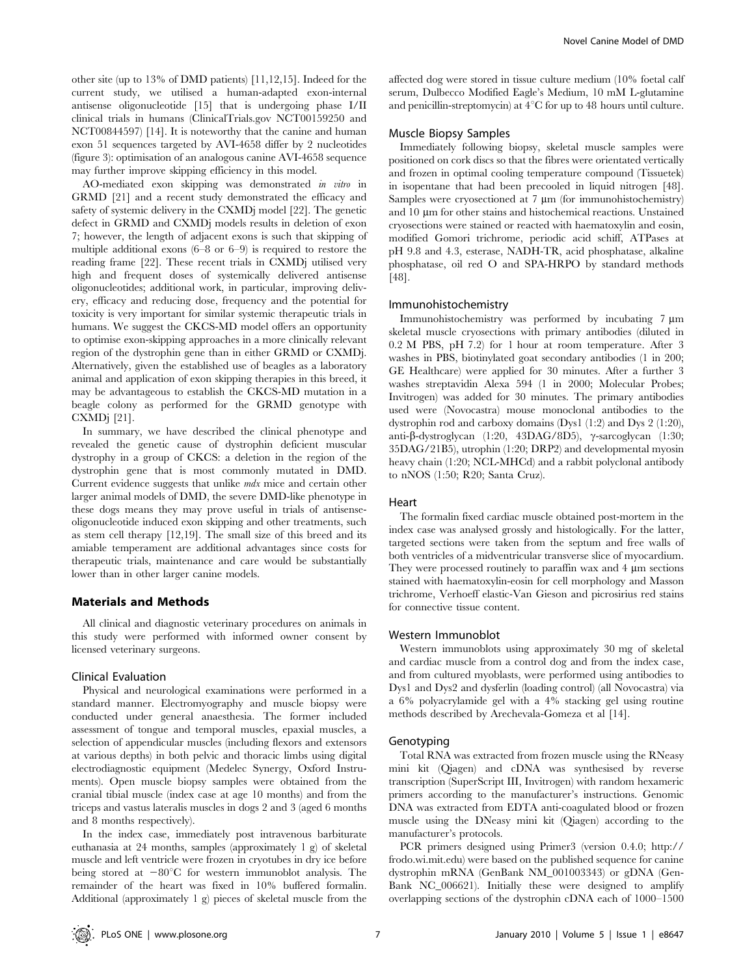other site (up to 13% of DMD patients) [11,12,15]. Indeed for the current study, we utilised a human-adapted exon-internal antisense oligonucleotide [15] that is undergoing phase I/II clinical trials in humans (ClinicalTrials.gov NCT00159250 and NCT00844597) [14]. It is noteworthy that the canine and human exon 51 sequences targeted by AVI-4658 differ by 2 nucleotides (figure 3): optimisation of an analogous canine AVI-4658 sequence may further improve skipping efficiency in this model.

AO-mediated exon skipping was demonstrated in vitro in GRMD [21] and a recent study demonstrated the efficacy and safety of systemic delivery in the CXMDj model [22]. The genetic defect in GRMD and CXMDj models results in deletion of exon 7; however, the length of adjacent exons is such that skipping of multiple additional exons (6–8 or 6–9) is required to restore the reading frame [22]. These recent trials in CXMDj utilised very high and frequent doses of systemically delivered antisense oligonucleotides; additional work, in particular, improving delivery, efficacy and reducing dose, frequency and the potential for toxicity is very important for similar systemic therapeutic trials in humans. We suggest the CKCS-MD model offers an opportunity to optimise exon-skipping approaches in a more clinically relevant region of the dystrophin gene than in either GRMD or CXMDj. Alternatively, given the established use of beagles as a laboratory animal and application of exon skipping therapies in this breed, it may be advantageous to establish the CKCS-MD mutation in a beagle colony as performed for the GRMD genotype with CXMDj [21].

In summary, we have described the clinical phenotype and revealed the genetic cause of dystrophin deficient muscular dystrophy in a group of CKCS: a deletion in the region of the dystrophin gene that is most commonly mutated in DMD. Current evidence suggests that unlike *mdx* mice and certain other larger animal models of DMD, the severe DMD-like phenotype in these dogs means they may prove useful in trials of antisenseoligonucleotide induced exon skipping and other treatments, such as stem cell therapy [12,19]. The small size of this breed and its amiable temperament are additional advantages since costs for therapeutic trials, maintenance and care would be substantially lower than in other larger canine models.

# Materials and Methods

All clinical and diagnostic veterinary procedures on animals in this study were performed with informed owner consent by licensed veterinary surgeons.

#### Clinical Evaluation

Physical and neurological examinations were performed in a standard manner. Electromyography and muscle biopsy were conducted under general anaesthesia. The former included assessment of tongue and temporal muscles, epaxial muscles, a selection of appendicular muscles (including flexors and extensors at various depths) in both pelvic and thoracic limbs using digital electrodiagnostic equipment (Medelec Synergy, Oxford Instruments). Open muscle biopsy samples were obtained from the cranial tibial muscle (index case at age 10 months) and from the triceps and vastus lateralis muscles in dogs 2 and 3 (aged 6 months and 8 months respectively).

In the index case, immediately post intravenous barbiturate euthanasia at 24 months, samples (approximately 1 g) of skeletal muscle and left ventricle were frozen in cryotubes in dry ice before being stored at  $-80^{\circ}$ C for western immunoblot analysis. The remainder of the heart was fixed in 10% buffered formalin. Additional (approximately 1 g) pieces of skeletal muscle from the

affected dog were stored in tissue culture medium (10% foetal calf serum, Dulbecco Modified Eagle's Medium, 10 mM L-glutamine and penicillin-streptomycin) at  $4^{\circ}$ C for up to 48 hours until culture.

#### Muscle Biopsy Samples

Immediately following biopsy, skeletal muscle samples were positioned on cork discs so that the fibres were orientated vertically and frozen in optimal cooling temperature compound (Tissuetek) in isopentane that had been precooled in liquid nitrogen [48]. Samples were cryosectioned at  $7 \mu m$  (for immunohistochemistry) and 10 um for other stains and histochemical reactions. Unstained cryosections were stained or reacted with haematoxylin and eosin, modified Gomori trichrome, periodic acid schiff, ATPases at pH 9.8 and 4.3, esterase, NADH-TR, acid phosphatase, alkaline phosphatase, oil red O and SPA-HRPO by standard methods [48].

#### Immunohistochemistry

Immunohistochemistry was performed by incubating 7  $\mu$ m skeletal muscle cryosections with primary antibodies (diluted in 0.2 M PBS, pH 7.2) for 1 hour at room temperature. After 3 washes in PBS, biotinylated goat secondary antibodies (1 in 200; GE Healthcare) were applied for 30 minutes. After a further 3 washes streptavidin Alexa 594 (1 in 2000; Molecular Probes; Invitrogen) was added for 30 minutes. The primary antibodies used were (Novocastra) mouse monoclonal antibodies to the dystrophin rod and carboxy domains (Dys1 (1:2) and Dys 2 (1:20), anti- $\beta$ -dystroglycan (1:20, 43DAG/8D5),  $\gamma$ -sarcoglycan (1:30; 35DAG/21B5), utrophin (1:20; DRP2) and developmental myosin heavy chain (1:20; NCL-MHCd) and a rabbit polyclonal antibody to nNOS (1:50; R20; Santa Cruz).

#### Heart

The formalin fixed cardiac muscle obtained post-mortem in the index case was analysed grossly and histologically. For the latter, targeted sections were taken from the septum and free walls of both ventricles of a midventricular transverse slice of myocardium. They were processed routinely to paraffin wax and  $4 \mu$ m sections stained with haematoxylin-eosin for cell morphology and Masson trichrome, Verhoeff elastic-Van Gieson and picrosirius red stains for connective tissue content.

# Western Immunoblot

Western immunoblots using approximately 30 mg of skeletal and cardiac muscle from a control dog and from the index case, and from cultured myoblasts, were performed using antibodies to Dys1 and Dys2 and dysferlin (loading control) (all Novocastra) via a 6% polyacrylamide gel with a 4% stacking gel using routine methods described by Arechevala-Gomeza et al [14].

# Genotyping

Total RNA was extracted from frozen muscle using the RNeasy mini kit (Qiagen) and cDNA was synthesised by reverse transcription (SuperScript III, Invitrogen) with random hexameric primers according to the manufacturer's instructions. Genomic DNA was extracted from EDTA anti-coagulated blood or frozen muscle using the DNeasy mini kit (Qiagen) according to the manufacturer's protocols.

PCR primers designed using Primer3 (version 0.4.0; http:// frodo.wi.mit.edu) were based on the published sequence for canine dystrophin mRNA (GenBank NM\_001003343) or gDNA (Gen-Bank NC\_006621). Initially these were designed to amplify overlapping sections of the dystrophin cDNA each of 1000–1500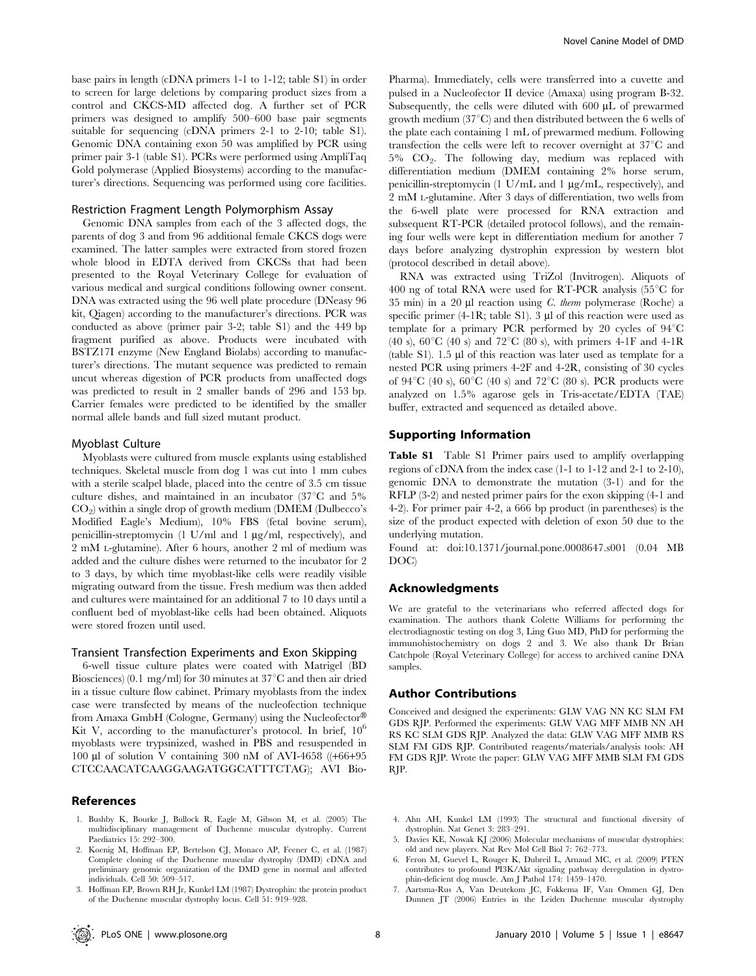base pairs in length (cDNA primers 1-1 to 1-12; table S1) in order to screen for large deletions by comparing product sizes from a control and CKCS-MD affected dog. A further set of PCR primers was designed to amplify 500–600 base pair segments suitable for sequencing (cDNA primers 2-1 to 2-10; table S1). Genomic DNA containing exon 50 was amplified by PCR using primer pair 3-1 (table S1). PCRs were performed using AmpliTaq Gold polymerase (Applied Biosystems) according to the manufacturer's directions. Sequencing was performed using core facilities.

#### Restriction Fragment Length Polymorphism Assay

Genomic DNA samples from each of the 3 affected dogs, the parents of dog 3 and from 96 additional female CKCS dogs were examined. The latter samples were extracted from stored frozen whole blood in EDTA derived from CKCSs that had been presented to the Royal Veterinary College for evaluation of various medical and surgical conditions following owner consent. DNA was extracted using the 96 well plate procedure (DNeasy 96 kit, Qiagen) according to the manufacturer's directions. PCR was conducted as above (primer pair 3-2; table S1) and the 449 bp fragment purified as above. Products were incubated with BSTZ17I enzyme (New England Biolabs) according to manufacturer's directions. The mutant sequence was predicted to remain uncut whereas digestion of PCR products from unaffected dogs was predicted to result in 2 smaller bands of 296 and 153 bp. Carrier females were predicted to be identified by the smaller normal allele bands and full sized mutant product.

#### Myoblast Culture

Myoblasts were cultured from muscle explants using established techniques. Skeletal muscle from dog 1 was cut into 1 mm cubes with a sterile scalpel blade, placed into the centre of 3.5 cm tissue culture dishes, and maintained in an incubator  $(37^{\circ}C \text{ and } 5\%)$  $CO<sub>2</sub>$ ) within a single drop of growth medium (DMEM (Dulbecco's Modified Eagle's Medium), 10% FBS (fetal bovine serum), penicillin-streptomycin  $(1 \text{ U/ml}$  and  $1 \mu g/ml$ , respectively), and 2 mM L-glutamine). After 6 hours, another 2 ml of medium was added and the culture dishes were returned to the incubator for 2 to 3 days, by which time myoblast-like cells were readily visible migrating outward from the tissue. Fresh medium was then added and cultures were maintained for an additional 7 to 10 days until a confluent bed of myoblast-like cells had been obtained. Aliquots were stored frozen until used.

#### Transient Transfection Experiments and Exon Skipping

6-well tissue culture plates were coated with Matrigel (BD Biosciences) (0.1 mg/ml) for 30 minutes at  $37^{\circ}$ C and then air dried in a tissue culture flow cabinet. Primary myoblasts from the index case were transfected by means of the nucleofection technique from Amaxa GmbH (Cologne, Germany) using the Nucleofector<sup>®</sup> Kit V, according to the manufacturer's protocol. In brief,  $10<sup>6</sup>$ myoblasts were trypsinized, washed in PBS and resuspended in 100 µl of solution V containing 300 nM of AVI-4658 ( $(+66+95)$ CTCCAACATCAAGGAAGATGGCATTTCTAG); AVI Bio-

# References

- 1. Bushby K, Bourke J, Bullock R, Eagle M, Gibson M, et al. (2005) The multidisciplinary management of Duchenne muscular dystrophy. Current Paediatrics 15: 292–300.
- 2. Koenig M, Hoffman EP, Bertelson CJ, Monaco AP, Feener C, et al. (1987) Complete cloning of the Duchenne muscular dystrophy (DMD) cDNA and preliminary genomic organization of the DMD gene in normal and affected individuals. Cell 50: 509–517.
- 3. Hoffman EP, Brown RH Jr, Kunkel LM (1987) Dystrophin: the protein product of the Duchenne muscular dystrophy locus. Cell 51: 919–928.

Pharma). Immediately, cells were transferred into a cuvette and pulsed in a Nucleofector II device (Amaxa) using program B-32. Subsequently, the cells were diluted with  $600 \mu L$  of prewarmed growth medium  $(37^{\circ}C)$  and then distributed between the 6 wells of the plate each containing 1 mL of prewarmed medium. Following transfection the cells were left to recover overnight at  $37^{\circ}$ C and  $5\%$  CO<sub>2</sub>. The following day, medium was replaced with differentiation medium (DMEM containing 2% horse serum, penicillin-streptomycin (1 U/mL and 1  $\mu$ g/mL, respectively), and 2 mM L-glutamine. After 3 days of differentiation, two wells from the 6-well plate were processed for RNA extraction and subsequent RT-PCR (detailed protocol follows), and the remaining four wells were kept in differentiation medium for another 7 days before analyzing dystrophin expression by western blot (protocol described in detail above).

RNA was extracted using TriZol (Invitrogen). Aliquots of 400 ng of total RNA were used for RT-PCR analysis  $(55^{\circ}C)$  for 35 min) in a 20  $\mu$ l reaction using *C. therm* polymerase (Roche) a specific primer  $(4-1R;$  table S1). 3  $\mu$ l of this reaction were used as template for a primary PCR performed by 20 cycles of  $94^{\circ}$ C (40 s),  $60^{\circ}$ C (40 s) and  $72^{\circ}$ C (80 s), with primers 4-1F and 4-1R (table  $S1$ ). 1.5  $\mu$  of this reaction was later used as template for a nested PCR using primers 4-2F and 4-2R, consisting of 30 cycles of 94 $^{\circ}$ C (40 s), 60 $^{\circ}$ C (40 s) and 72 $^{\circ}$ C (80 s). PCR products were analyzed on 1.5% agarose gels in Tris-acetate/EDTA (TAE) buffer, extracted and sequenced as detailed above.

#### Supporting Information

Table S1 Table S1 Primer pairs used to amplify overlapping regions of cDNA from the index case (1-1 to 1-12 and 2-1 to 2-10), genomic DNA to demonstrate the mutation (3-1) and for the RFLP (3-2) and nested primer pairs for the exon skipping (4-1 and 4-2). For primer pair 4-2, a 666 bp product (in parentheses) is the size of the product expected with deletion of exon 50 due to the underlying mutation.

Found at: doi:10.1371/journal.pone.0008647.s001 (0.04 MB DOC)

#### Acknowledgments

We are grateful to the veterinarians who referred affected dogs for examination. The authors thank Colette Williams for performing the electrodiagnostic testing on dog 3, Ling Guo MD, PhD for performing the immunohistochemistry on dogs 2 and 3. We also thank Dr Brian Catchpole (Royal Veterinary College) for access to archived canine DNA samples.

# Author Contributions

Conceived and designed the experiments: GLW VAG NN KC SLM FM GDS RJP. Performed the experiments: GLW VAG MFF MMB NN AH RS KC SLM GDS RJP. Analyzed the data: GLW VAG MFF MMB RS SLM FM GDS RJP. Contributed reagents/materials/analysis tools: AH FM GDS RJP. Wrote the paper: GLW VAG MFF MMB SLM FM GDS RJP.

- 4. Ahn AH, Kunkel LM (1993) The structural and functional diversity of dystrophin. Nat Genet 3: 283–291.
- 5. Davies KE, Nowak KJ (2006) Molecular mechanisms of muscular dystrophies: old and new players. Nat Rev Mol Cell Biol 7: 762–773.
- 6. Feron M, Guevel L, Rouger K, Dubreil L, Arnaud MC, et al. (2009) PTEN contributes to profound PI3K/Akt signaling pathway deregulation in dystrophin-deficient dog muscle. Am J Pathol 174: 1459–1470.
- 7. Aartsma-Rus A, Van Deutekom JC, Fokkema IF, Van Ommen GJ, Den Dunnen JT (2006) Entries in the Leiden Duchenne muscular dystrophy